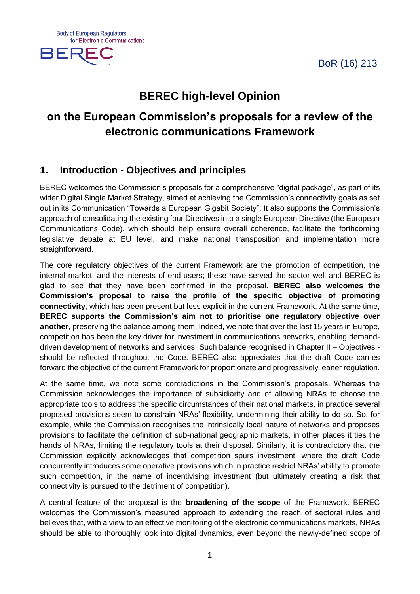BoR (16) 213





# **BEREC high-level Opinion**

# **on the European Commission's proposals for a review of the electronic communications Framework**

## **1. Introduction - Objectives and principles**

BEREC welcomes the Commission's proposals for a comprehensive "digital package", as part of its wider Digital Single Market Strategy, aimed at achieving the Commission's connectivity goals as set out in its Communication "Towards a European Gigabit Society". It also supports the Commission's approach of consolidating the existing four Directives into a single European Directive (the European Communications Code), which should help ensure overall coherence, facilitate the forthcoming legislative debate at EU level, and make national transposition and implementation more straightforward.

The core regulatory objectives of the current Framework are the promotion of competition, the internal market, and the interests of end-users; these have served the sector well and BEREC is glad to see that they have been confirmed in the proposal. **BEREC also welcomes the Commission's proposal to raise the profile of the specific objective of promoting connectivity**, which has been present but less explicit in the current Framework. At the same time, **BEREC supports the Commission's aim not to prioritise one regulatory objective over another**, preserving the balance among them. Indeed, we note that over the last 15 years in Europe, competition has been the key driver for investment in communications networks, enabling demanddriven development of networks and services. Such balance recognised in Chapter II – Objectives should be reflected throughout the Code. BEREC also appreciates that the draft Code carries forward the objective of the current Framework for proportionate and progressively leaner regulation.

At the same time, we note some contradictions in the Commission's proposals. Whereas the Commission acknowledges the importance of subsidiarity and of allowing NRAs to choose the appropriate tools to address the specific circumstances of their national markets, in practice several proposed provisions seem to constrain NRAs' flexibility, undermining their ability to do so. So, for example, while the Commission recognises the intrinsically local nature of networks and proposes provisions to facilitate the definition of sub-national geographic markets, in other places it ties the hands of NRAs, limiting the regulatory tools at their disposal. Similarly, it is contradictory that the Commission explicitly acknowledges that competition spurs investment, where the draft Code concurrently introduces some operative provisions which in practice restrict NRAs' ability to promote such competition, in the name of incentivising investment (but ultimately creating a risk that connectivity is pursued to the detriment of competition).

A central feature of the proposal is the **broadening of the scope** of the Framework. BEREC welcomes the Commission's measured approach to extending the reach of sectoral rules and believes that, with a view to an effective monitoring of the electronic communications markets, NRAs should be able to thoroughly look into digital dynamics, even beyond the newly-defined scope of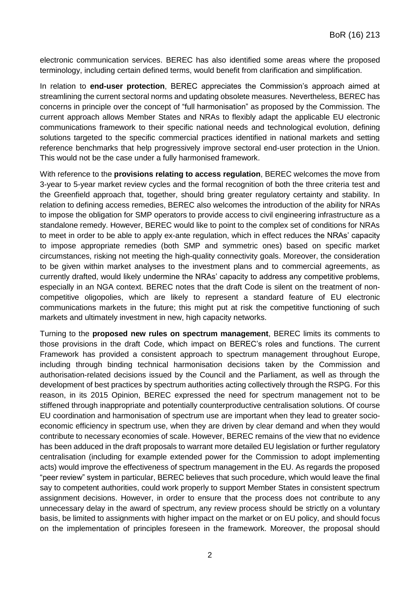electronic communication services. BEREC has also identified some areas where the proposed terminology, including certain defined terms, would benefit from clarification and simplification.

In relation to **end-user protection**, BEREC appreciates the Commission's approach aimed at streamlining the current sectoral norms and updating obsolete measures. Nevertheless, BEREC has concerns in principle over the concept of "full harmonisation" as proposed by the Commission. The current approach allows Member States and NRAs to flexibly adapt the applicable EU electronic communications framework to their specific national needs and technological evolution, defining solutions targeted to the specific commercial practices identified in national markets and setting reference benchmarks that help progressively improve sectoral end-user protection in the Union. This would not be the case under a fully harmonised framework.

With reference to the **provisions relating to access regulation**, BEREC welcomes the move from 3-year to 5-year market review cycles and the formal recognition of both the three criteria test and the Greenfield approach that, together, should bring greater regulatory certainty and stability. In relation to defining access remedies, BEREC also welcomes the introduction of the ability for NRAs to impose the obligation for SMP operators to provide access to civil engineering infrastructure as a standalone remedy. However, BEREC would like to point to the complex set of conditions for NRAs to meet in order to be able to apply ex-ante regulation, which in effect reduces the NRAs' capacity to impose appropriate remedies (both SMP and symmetric ones) based on specific market circumstances, risking not meeting the high-quality connectivity goals. Moreover, the consideration to be given within market analyses to the investment plans and to commercial agreements, as currently drafted, would likely undermine the NRAs' capacity to address any competitive problems, especially in an NGA context. BEREC notes that the draft Code is silent on the treatment of noncompetitive oligopolies, which are likely to represent a standard feature of EU electronic communications markets in the future; this might put at risk the competitive functioning of such markets and ultimately investment in new, high capacity networks.

Turning to the **proposed new rules on spectrum management**, BEREC limits its comments to those provisions in the draft Code, which impact on BEREC's roles and functions. The current Framework has provided a consistent approach to spectrum management throughout Europe, including through binding technical harmonisation decisions taken by the Commission and authorisation-related decisions issued by the Council and the Parliament, as well as through the development of best practices by spectrum authorities acting collectively through the RSPG. For this reason, in its 2015 Opinion, BEREC expressed the need for spectrum management not to be stiffened through inappropriate and potentially counterproductive centralisation solutions. Of course EU coordination and harmonisation of spectrum use are important when they lead to greater socioeconomic efficiency in spectrum use, when they are driven by clear demand and when they would contribute to necessary economies of scale. However, BEREC remains of the view that no evidence has been adduced in the draft proposals to warrant more detailed EU legislation or further regulatory centralisation (including for example extended power for the Commission to adopt implementing acts) would improve the effectiveness of spectrum management in the EU. As regards the proposed "peer review" system in particular, BEREC believes that such procedure, which would leave the final say to competent authorities, could work properly to support Member States in consistent spectrum assignment decisions. However, in order to ensure that the process does not contribute to any unnecessary delay in the award of spectrum, any review process should be strictly on a voluntary basis, be limited to assignments with higher impact on the market or on EU policy, and should focus on the implementation of principles foreseen in the framework. Moreover, the proposal should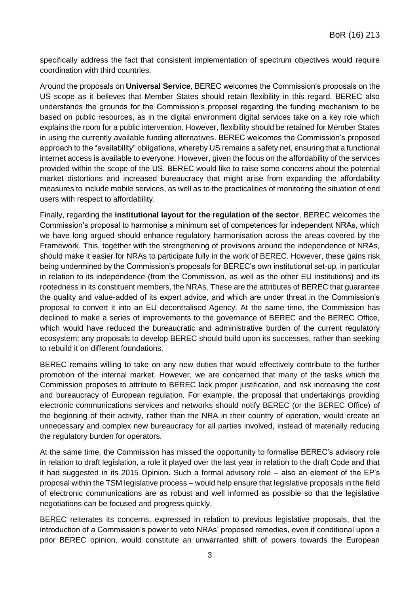specifically address the fact that consistent implementation of spectrum objectives would require coordination with third countries.

Around the proposals on **Universal Service**, BEREC welcomes the Commission's proposals on the US scope as it believes that Member States should retain flexibility in this regard. BEREC also understands the grounds for the Commission's proposal regarding the funding mechanism to be based on public resources, as in the digital environment digital services take on a key role which explains the room for a public intervention. However, flexibility should be retained for Member States in using the currently available funding alternatives. BEREC welcomes the Commission's proposed approach to the "availability" obligations, whereby US remains a safety net, ensuring that a functional internet access is available to everyone. However, given the focus on the affordability of the services provided within the scope of the US, BEREC would like to raise some concerns about the potential market distortions and increased bureaucracy that might arise from expanding the affordability measures to include mobile services, as well as to the practicalities of monitoring the situation of end users with respect to affordability.

Finally, regarding the **institutional layout for the regulation of the sector**, BEREC welcomes the Commission's proposal to harmonise a minimum set of competences for independent NRAs, which we have long argued should enhance regulatory harmonisation across the areas covered by the Framework. This, together with the strengthening of provisions around the independence of NRAs, should make it easier for NRAs to participate fully in the work of BEREC. However, these gains risk being undermined by the Commission's proposals for BEREC's own institutional set-up, in particular in relation to its independence (from the Commission, as well as the other EU institutions) and its rootedness in its constituent members, the NRAs. These are the attributes of BEREC that guarantee the quality and value-added of its expert advice, and which are under threat in the Commission's proposal to convert it into an EU decentralised Agency. At the same time, the Commission has declined to make a series of improvements to the governance of BEREC and the BEREC Office, which would have reduced the bureaucratic and administrative burden of the current regulatory ecosystem: any proposals to develop BEREC should build upon its successes, rather than seeking to rebuild it on different foundations.

BEREC remains willing to take on any new duties that would effectively contribute to the further promotion of the internal market. However, we are concerned that many of the tasks which the Commission proposes to attribute to BEREC lack proper justification, and risk increasing the cost and bureaucracy of European regulation. For example, the proposal that undertakings providing electronic communications services and networks should notify BEREC (or the BEREC Office) of the beginning of their activity, rather than the NRA in their country of operation, would create an unnecessary and complex new bureaucracy for all parties involved, instead of materially reducing the regulatory burden for operators.

At the same time, the Commission has missed the opportunity to formalise BEREC's advisory role in relation to draft legislation, a role it played over the last year in relation to the draft Code and that it had suggested in its 2015 Opinion. Such a formal advisory role – also an element of the EP's proposal within the TSM legislative process – would help ensure that legislative proposals in the field of electronic communications are as robust and well informed as possible so that the legislative negotiations can be focused and progress quickly.

BEREC reiterates its concerns, expressed in relation to previous legislative proposals, that the introduction of a Commission's power to veto NRAs' proposed remedies, even if conditional upon a prior BEREC opinion, would constitute an unwarranted shift of powers towards the European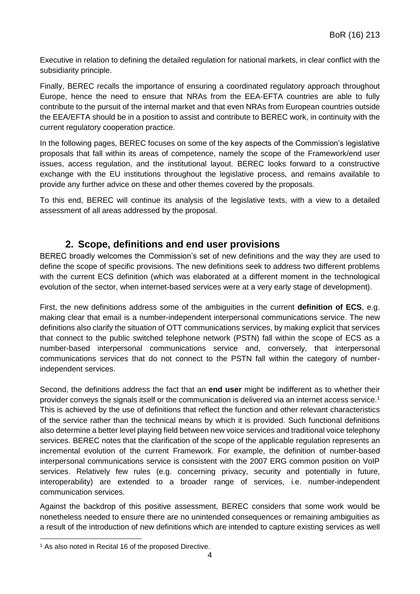Executive in relation to defining the detailed regulation for national markets, in clear conflict with the subsidiarity principle.

Finally, BEREC recalls the importance of ensuring a coordinated regulatory approach throughout Europe, hence the need to ensure that NRAs from the EEA-EFTA countries are able to fully contribute to the pursuit of the internal market and that even NRAs from European countries outside the EEA/EFTA should be in a position to assist and contribute to BEREC work, in continuity with the current regulatory cooperation practice.

In the following pages, BEREC focuses on some of the key aspects of the Commission's legislative proposals that fall within its areas of competence, namely the scope of the Framework/end user issues, access regulation, and the institutional layout. BEREC looks forward to a constructive exchange with the EU institutions throughout the legislative process, and remains available to provide any further advice on these and other themes covered by the proposals.

To this end, BEREC will continue its analysis of the legislative texts, with a view to a detailed assessment of all areas addressed by the proposal.

## **2. Scope, definitions and end user provisions**

BEREC broadly welcomes the Commission's set of new definitions and the way they are used to define the scope of specific provisions. The new definitions seek to address two different problems with the current ECS definition (which was elaborated at a different moment in the technological evolution of the sector, when internet-based services were at a very early stage of development).

First, the new definitions address some of the ambiguities in the current **definition of ECS**, e.g. making clear that email is a number-independent interpersonal communications service. The new definitions also clarify the situation of OTT communications services, by making explicit that services that connect to the public switched telephone network (PSTN) fall within the scope of ECS as a number-based interpersonal communications service and, conversely, that interpersonal communications services that do not connect to the PSTN fall within the category of numberindependent services.

Second, the definitions address the fact that an **end user** might be indifferent as to whether their provider conveys the signals itself or the communication is delivered via an internet access service.<sup>1</sup> This is achieved by the use of definitions that reflect the function and other relevant characteristics of the service rather than the technical means by which it is provided. Such functional definitions also determine a better level playing field between new voice services and traditional voice telephony services. BEREC notes that the clarification of the scope of the applicable regulation represents an incremental evolution of the current Framework. For example, the definition of number-based interpersonal communications service is consistent with the 2007 ERG common position on VoIP services. Relatively few rules (e.g. concerning privacy, security and potentially in future, interoperability) are extended to a broader range of services, i.e. number-independent communication services.

Against the backdrop of this positive assessment, BEREC considers that some work would be nonetheless needed to ensure there are no unintended consequences or remaining ambiguities as a result of the introduction of new definitions which are intended to capture existing services as well

**.** 

<sup>&</sup>lt;sup>1</sup> As also noted in Recital 16 of the proposed Directive.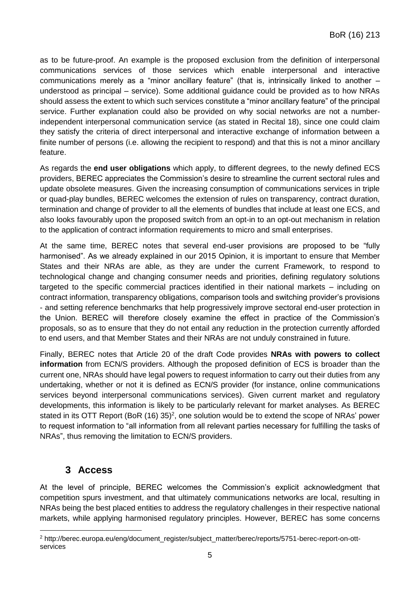as to be future-proof. An example is the proposed exclusion from the definition of interpersonal communications services of those services which enable interpersonal and interactive communications merely as a "minor ancillary feature" (that is, intrinsically linked to another – understood as principal – service). Some additional guidance could be provided as to how NRAs should assess the extent to which such services constitute a "minor ancillary feature" of the principal service. Further explanation could also be provided on why social networks are not a numberindependent interpersonal communication service (as stated in Recital 18), since one could claim they satisfy the criteria of direct interpersonal and interactive exchange of information between a finite number of persons (i.e. allowing the recipient to respond) and that this is not a minor ancillary feature.

As regards the **end user obligations** which apply, to different degrees, to the newly defined ECS providers, BEREC appreciates the Commission's desire to streamline the current sectoral rules and update obsolete measures. Given the increasing consumption of communications services in triple or quad-play bundles, BEREC welcomes the extension of rules on transparency, contract duration, termination and change of provider to all the elements of bundles that include at least one ECS, and also looks favourably upon the proposed switch from an opt-in to an opt-out mechanism in relation to the application of contract information requirements to micro and small enterprises.

At the same time, BEREC notes that several end-user provisions are proposed to be "fully harmonised". As we already explained in our 2015 Opinion, it is important to ensure that Member States and their NRAs are able, as they are under the current Framework, to respond to technological change and changing consumer needs and priorities, defining regulatory solutions targeted to the specific commercial practices identified in their national markets – including on contract information, transparency obligations, comparison tools and switching provider's provisions - and setting reference benchmarks that help progressively improve sectoral end-user protection in the Union. BEREC will therefore closely examine the effect in practice of the Commission's proposals, so as to ensure that they do not entail any reduction in the protection currently afforded to end users, and that Member States and their NRAs are not unduly constrained in future.

Finally, BEREC notes that Article 20 of the draft Code provides **NRAs with powers to collect information** from ECN/S providers. Although the proposed definition of ECS is broader than the current one, NRAs should have legal powers to request information to carry out their duties from any undertaking, whether or not it is defined as ECN/S provider (for instance, online communications services beyond interpersonal communications services). Given current market and regulatory developments, this information is likely to be particularly relevant for market analyses. As BEREC stated in its OTT Report (BoR  $(16)$  35)<sup>2</sup>, one solution would be to extend the scope of NRAs' power to request information to "all information from all relevant parties necessary for fulfilling the tasks of NRAs", thus removing the limitation to ECN/S providers.

## **3 Access**

**.** 

At the level of principle, BEREC welcomes the Commission's explicit acknowledgment that competition spurs investment, and that ultimately communications networks are local, resulting in NRAs being the best placed entities to address the regulatory challenges in their respective national markets, while applying harmonised regulatory principles. However, BEREC has some concerns

<sup>2</sup> http://berec.europa.eu/eng/document\_register/subject\_matter/berec/reports/5751-berec-report-on-ottservices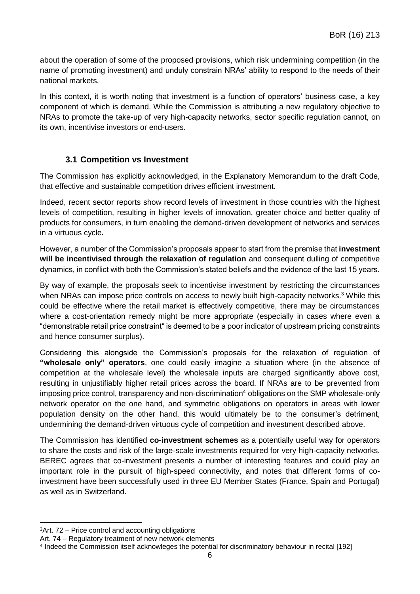about the operation of some of the proposed provisions, which risk undermining competition (in the name of promoting investment) and unduly constrain NRAs' ability to respond to the needs of their national markets.

In this context, it is worth noting that investment is a function of operators' business case, a key component of which is demand. While the Commission is attributing a new regulatory objective to NRAs to promote the take-up of very high-capacity networks, sector specific regulation cannot, on its own, incentivise investors or end-users.

#### **3.1 Competition vs Investment**

The Commission has explicitly acknowledged, in the Explanatory Memorandum to the draft Code, that effective and sustainable competition drives efficient investment.

Indeed, recent sector reports show record levels of investment in those countries with the highest levels of competition, resulting in higher levels of innovation, greater choice and better quality of products for consumers, in turn enabling the demand-driven development of networks and services in a virtuous cycle**.**

However, a number of the Commission's proposals appear to start from the premise that **investment will be incentivised through the relaxation of regulation** and consequent dulling of competitive dynamics, in conflict with both the Commission's stated beliefs and the evidence of the last 15 years.

By way of example, the proposals seek to incentivise investment by restricting the circumstances when NRAs can impose price controls on access to newly built high-capacity networks.<sup>3</sup> While this could be effective where the retail market is effectively competitive, there may be circumstances where a cost-orientation remedy might be more appropriate (especially in cases where even a "demonstrable retail price constraint" is deemed to be a poor indicator of upstream pricing constraints and hence consumer surplus).

Considering this alongside the Commission's proposals for the relaxation of regulation of **"wholesale only" operators**, one could easily imagine a situation where (in the absence of competition at the wholesale level) the wholesale inputs are charged significantly above cost, resulting in unjustifiably higher retail prices across the board. If NRAs are to be prevented from imposing price control, transparency and non-discrimination<sup>4</sup> obligations on the SMP wholesale-only network operator on the one hand, and symmetric obligations on operators in areas with lower population density on the other hand, this would ultimately be to the consumer's detriment, undermining the demand-driven virtuous cycle of competition and investment described above.

The Commission has identified **co-investment schemes** as a potentially useful way for operators to share the costs and risk of the large-scale investments required for very high-capacity networks. BEREC agrees that co-investment presents a number of interesting features and could play an important role in the pursuit of high-speed connectivity, and notes that different forms of coinvestment have been successfully used in three EU Member States (France, Spain and Portugal) as well as in Switzerland.

1

<sup>3</sup>Art. 72 – Price control and accounting obligations

Art. 74 – Regulatory treatment of new network elements

<sup>4</sup> Indeed the Commission itself acknowleges the potential for discriminatory behaviour in recital [192]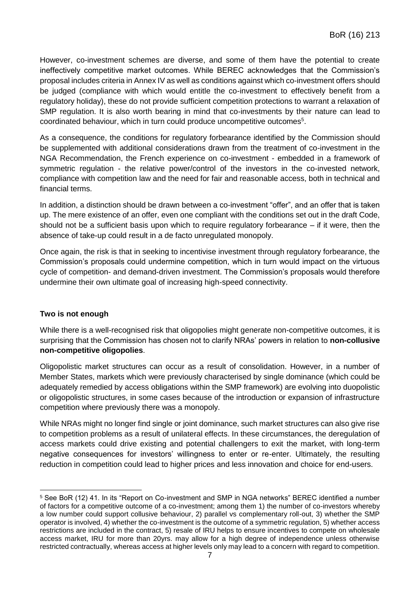However, co-investment schemes are diverse, and some of them have the potential to create ineffectively competitive market outcomes. While BEREC acknowledges that the Commission's proposal includes criteria in Annex IV as well as conditions against which co-investment offers should be judged (compliance with which would entitle the co-investment to effectively benefit from a regulatory holiday), these do not provide sufficient competition protections to warrant a relaxation of SMP regulation. It is also worth bearing in mind that co-investments by their nature can lead to coordinated behaviour, which in turn could produce uncompetitive outcomes<sup>5</sup>.

As a consequence, the conditions for regulatory forbearance identified by the Commission should be supplemented with additional considerations drawn from the treatment of co-investment in the NGA Recommendation, the French experience on co-investment - embedded in a framework of symmetric regulation - the relative power/control of the investors in the co-invested network, compliance with competition law and the need for fair and reasonable access, both in technical and financial terms.

In addition, a distinction should be drawn between a co-investment "offer", and an offer that is taken up. The mere existence of an offer, even one compliant with the conditions set out in the draft Code, should not be a sufficient basis upon which to require regulatory forbearance  $-$  if it were, then the absence of take-up could result in a de facto unregulated monopoly.

Once again, the risk is that in seeking to incentivise investment through regulatory forbearance, the Commission's proposals could undermine competition, which in turn would impact on the virtuous cycle of competition- and demand-driven investment. The Commission's proposals would therefore undermine their own ultimate goal of increasing high-speed connectivity.

#### **Two is not enough**

While there is a well-recognised risk that oligopolies might generate non-competitive outcomes, it is surprising that the Commission has chosen not to clarify NRAs' powers in relation to **non-collusive non-competitive oligopolies**.

Oligopolistic market structures can occur as a result of consolidation. However, in a number of Member States, markets which were previously characterised by single dominance (which could be adequately remedied by access obligations within the SMP framework) are evolving into duopolistic or oligopolistic structures, in some cases because of the introduction or expansion of infrastructure competition where previously there was a monopoly.

While NRAs might no longer find single or joint dominance, such market structures can also give rise to competition problems as a result of unilateral effects. In these circumstances, the deregulation of access markets could drive existing and potential challengers to exit the market, with long-term negative consequences for investors' willingness to enter or re-enter. Ultimately, the resulting reduction in competition could lead to higher prices and less innovation and choice for end-users.

**<sup>.</sup>** <sup>5</sup> See BoR (12) 41. In its "Report on Co-investment and SMP in NGA networks" BEREC identified a number of factors for a competitive outcome of a co-investment; among them 1) the number of co-investors whereby a low number could support collusive behaviour, 2) parallel vs complementary roll-out, 3) whether the SMP operator is involved, 4) whether the co-investment is the outcome of a symmetric regulation, 5) whether access restrictions are included in the contract, 5) resale of IRU helps to ensure incentives to compete on wholesale access market, IRU for more than 20yrs. may allow for a high degree of independence unless otherwise restricted contractually, whereas access at higher levels only may lead to a concern with regard to competition.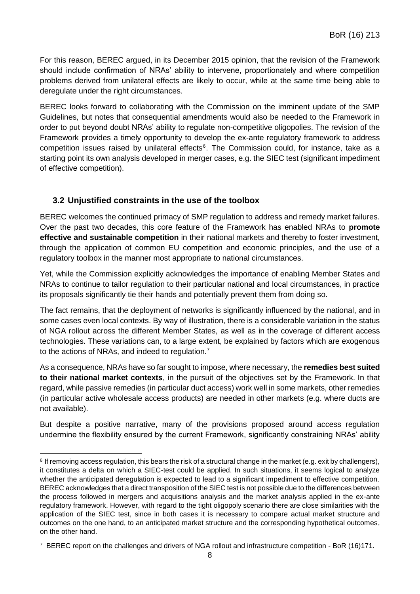For this reason, BEREC argued, in its December 2015 opinion, that the revision of the Framework should include confirmation of NRAs' ability to intervene, proportionately and where competition problems derived from unilateral effects are likely to occur, while at the same time being able to deregulate under the right circumstances.

BEREC looks forward to collaborating with the Commission on the imminent update of the SMP Guidelines, but notes that consequential amendments would also be needed to the Framework in order to put beyond doubt NRAs' ability to regulate non-competitive oligopolies. The revision of the Framework provides a timely opportunity to develop the ex-ante regulatory framework to address competition issues raised by unilateral effects<sup>6</sup>. The Commission could, for instance, take as a starting point its own analysis developed in merger cases, e.g. the SIEC test (significant impediment of effective competition).

### **3.2 Unjustified constraints in the use of the toolbox**

BEREC welcomes the continued primacy of SMP regulation to address and remedy market failures. Over the past two decades, this core feature of the Framework has enabled NRAs to **promote effective and sustainable competition** in their national markets and thereby to foster investment, through the application of common EU competition and economic principles, and the use of a regulatory toolbox in the manner most appropriate to national circumstances.

Yet, while the Commission explicitly acknowledges the importance of enabling Member States and NRAs to continue to tailor regulation to their particular national and local circumstances, in practice its proposals significantly tie their hands and potentially prevent them from doing so.

The fact remains, that the deployment of networks is significantly influenced by the national, and in some cases even local contexts. By way of illustration, there is a considerable variation in the status of NGA rollout across the different Member States, as well as in the coverage of different access technologies. These variations can, to a large extent, be explained by factors which are exogenous to the actions of NRAs, and indeed to regulation.<sup>7</sup>

As a consequence, NRAs have so far sought to impose, where necessary, the **remedies best suited to their national market contexts**, in the pursuit of the objectives set by the Framework. In that regard, while passive remedies (in particular duct access) work well in some markets, other remedies (in particular active wholesale access products) are needed in other markets (e.g. where ducts are not available).

But despite a positive narrative, many of the provisions proposed around access regulation undermine the flexibility ensured by the current Framework, significantly constraining NRAs' ability

**<sup>.</sup>** 6 If removing access regulation, this bears the risk of a structural change in the market (e.g. exit by challengers), it constitutes a delta on which a SIEC-test could be applied. In such situations, it seems logical to analyze whether the anticipated deregulation is expected to lead to a significant impediment to effective competition. BEREC acknowledges that a direct transposition of the SIEC test is not possible due to the differences between the process followed in mergers and acquisitions analysis and the market analysis applied in the ex-ante regulatory framework. However, with regard to the tight oligopoly scenario there are close similarities with the application of the SIEC test, since in both cases it is necessary to compare actual market structure and outcomes on the one hand, to an anticipated market structure and the corresponding hypothetical outcomes, on the other hand.

<sup>&</sup>lt;sup>7</sup> BEREC report on the challenges and drivers of NGA rollout and infrastructure competition - BoR (16)171.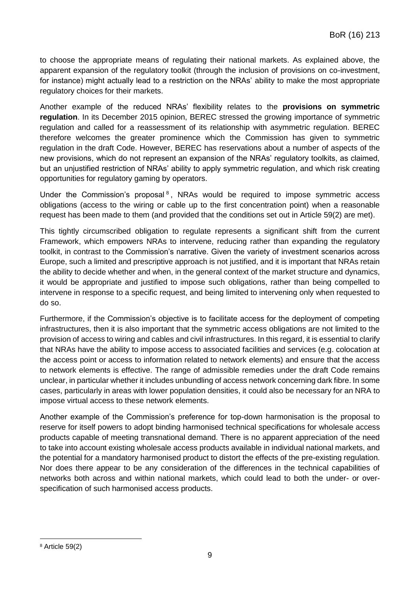to choose the appropriate means of regulating their national markets. As explained above, the apparent expansion of the regulatory toolkit (through the inclusion of provisions on co-investment, for instance) might actually lead to a restriction on the NRAs' ability to make the most appropriate regulatory choices for their markets.

Another example of the reduced NRAs' flexibility relates to the **provisions on symmetric regulation**. In its December 2015 opinion, BEREC stressed the growing importance of symmetric regulation and called for a reassessment of its relationship with asymmetric regulation. BEREC therefore welcomes the greater prominence which the Commission has given to symmetric regulation in the draft Code. However, BEREC has reservations about a number of aspects of the new provisions, which do not represent an expansion of the NRAs' regulatory toolkits, as claimed, but an unjustified restriction of NRAs' ability to apply symmetric regulation, and which risk creating opportunities for regulatory gaming by operators.

Under the Commission's proposal $8$ , NRAs would be required to impose symmetric access obligations (access to the wiring or cable up to the first concentration point) when a reasonable request has been made to them (and provided that the conditions set out in Article 59(2) are met).

This tightly circumscribed obligation to regulate represents a significant shift from the current Framework, which empowers NRAs to intervene, reducing rather than expanding the regulatory toolkit, in contrast to the Commission's narrative. Given the variety of investment scenarios across Europe, such a limited and prescriptive approach is not justified, and it is important that NRAs retain the ability to decide whether and when, in the general context of the market structure and dynamics, it would be appropriate and justified to impose such obligations, rather than being compelled to intervene in response to a specific request, and being limited to intervening only when requested to do so.

Furthermore, if the Commission's objective is to facilitate access for the deployment of competing infrastructures, then it is also important that the symmetric access obligations are not limited to the provision of access to wiring and cables and civil infrastructures. In this regard, it is essential to clarify that NRAs have the ability to impose access to associated facilities and services (e.g. colocation at the access point or access to information related to network elements) and ensure that the access to network elements is effective. The range of admissible remedies under the draft Code remains unclear, in particular whether it includes unbundling of access network concerning dark fibre. In some cases, particularly in areas with lower population densities, it could also be necessary for an NRA to impose virtual access to these network elements.

Another example of the Commission's preference for top-down harmonisation is the proposal to reserve for itself powers to adopt binding harmonised technical specifications for wholesale access products capable of meeting transnational demand. There is no apparent appreciation of the need to take into account existing wholesale access products available in individual national markets, and the potential for a mandatory harmonised product to distort the effects of the pre-existing regulation. Nor does there appear to be any consideration of the differences in the technical capabilities of networks both across and within national markets, which could lead to both the under- or overspecification of such harmonised access products.

**.** 

<sup>8</sup> Article 59(2)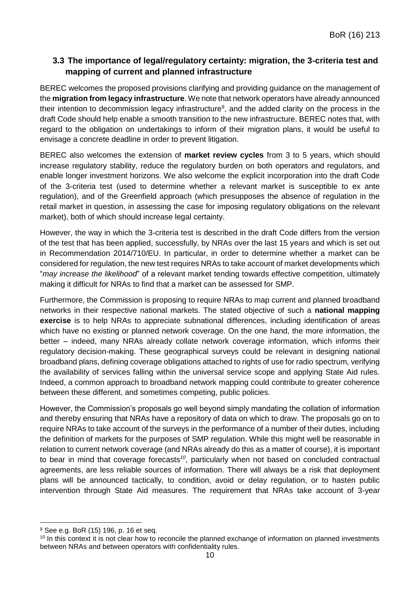### **3.3 The importance of legal/regulatory certainty: migration, the 3-criteria test and mapping of current and planned infrastructure**

BEREC welcomes the proposed provisions clarifying and providing guidance on the management of the **migration from legacy infrastructure**. We note that network operators have already announced their intention to decommission legacy infrastructure<sup>9</sup>, and the added clarity on the process in the draft Code should help enable a smooth transition to the new infrastructure. BEREC notes that, with regard to the obligation on undertakings to inform of their migration plans, it would be useful to envisage a concrete deadline in order to prevent litigation.

BEREC also welcomes the extension of **market review cycles** from 3 to 5 years, which should increase regulatory stability, reduce the regulatory burden on both operators and regulators, and enable longer investment horizons. We also welcome the explicit incorporation into the draft Code of the 3-criteria test (used to determine whether a relevant market is susceptible to ex ante regulation), and of the Greenfield approach (which presupposes the absence of regulation in the retail market in question, in assessing the case for imposing regulatory obligations on the relevant market), both of which should increase legal certainty.

However, the way in which the 3-criteria test is described in the draft Code differs from the version of the test that has been applied, successfully, by NRAs over the last 15 years and which is set out in Recommendation 2014/710/EU. In particular, in order to determine whether a market can be considered for regulation, the new test requires NRAs to take account of market developments which "*may increase the likelihood*" of a relevant market tending towards effective competition, ultimately making it difficult for NRAs to find that a market can be assessed for SMP.

Furthermore, the Commission is proposing to require NRAs to map current and planned broadband networks in their respective national markets. The stated objective of such a **national mapping exercise** is to help NRAs to appreciate subnational differences, including identification of areas which have no existing or planned network coverage. On the one hand, the more information, the better – indeed, many NRAs already collate network coverage information, which informs their regulatory decision-making. These geographical surveys could be relevant in designing national broadband plans, defining coverage obligations attached to rights of use for radio spectrum, verifying the availability of services falling within the universal service scope and applying State Aid rules. Indeed, a common approach to broadband network mapping could contribute to greater coherence between these different, and sometimes competing, public policies.

However, the Commission's proposals go well beyond simply mandating the collation of information and thereby ensuring that NRAs have a repository of data on which to draw. The proposals go on to require NRAs to take account of the surveys in the performance of a number of their duties, including the definition of markets for the purposes of SMP regulation. While this might well be reasonable in relation to current network coverage (and NRAs already do this as a matter of course), it is important to bear in mind that coverage forecasts*<sup>10</sup>*, particularly when not based on concluded contractual agreements, are less reliable sources of information. There will always be a risk that deployment plans will be announced tactically, to condition, avoid or delay regulation, or to hasten public intervention through State Aid measures. The requirement that NRAs take account of 3-year

1

<sup>9</sup> See e.g. BoR (15) 196, p. 16 et seq.

<sup>&</sup>lt;sup>10</sup> In this context it is not clear how to reconcile the planned exchange of information on planned investments between NRAs and between operators with confidentiality rules.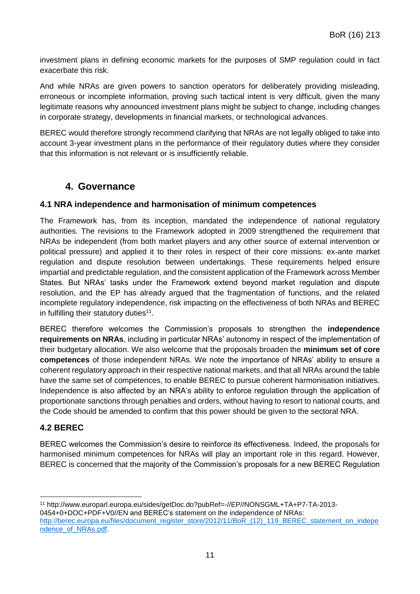investment plans in defining economic markets for the purposes of SMP regulation could in fact exacerbate this risk.

And while NRAs are given powers to sanction operators for deliberately providing misleading, erroneous or incomplete information, proving such tactical intent is very difficult, given the many legitimate reasons why announced investment plans might be subject to change, including changes in corporate strategy, developments in financial markets, or technological advances.

BEREC would therefore strongly recommend clarifying that NRAs are not legally obliged to take into account 3-year investment plans in the performance of their regulatory duties where they consider that this information is not relevant or is insufficiently reliable.

## **4. Governance**

#### **4.1 NRA independence and harmonisation of minimum competences**

The Framework has, from its inception, mandated the independence of national regulatory authorities. The revisions to the Framework adopted in 2009 strengthened the requirement that NRAs be independent (from both market players and any other source of external intervention or political pressure) and applied it to their roles in respect of their core missions: ex-ante market regulation and dispute resolution between undertakings. These requirements helped ensure impartial and predictable regulation, and the consistent application of the Framework across Member States. But NRAs' tasks under the Framework extend beyond market regulation and dispute resolution, and the EP has already argued that the fragmentation of functions, and the related incomplete regulatory independence, risk impacting on the effectiveness of both NRAs and BEREC in fulfilling their statutory duties<sup>11</sup>.

BEREC therefore welcomes the Commission's proposals to strengthen the **independence requirements on NRAs**, including in particular NRAs' autonomy in respect of the implementation of their budgetary allocation. We also welcome that the proposals broaden the **minimum set of core competences** of those independent NRAs. We note the importance of NRAs' ability to ensure a coherent regulatory approach in their respective national markets, and that all NRAs around the table have the same set of competences, to enable BEREC to pursue coherent harmonisation initiatives. Independence is also affected by an NRA's ability to enforce regulation through the application of proportionate sanctions through penalties and orders, without having to resort to national courts, and the Code should be amended to confirm that this power should be given to the sectoral NRA.

#### **4.2 BEREC**

BEREC welcomes the Commission's desire to reinforce its effectiveness. Indeed, the proposals for harmonised minimum competences for NRAs will play an important role in this regard. However, BEREC is concerned that the majority of the Commission's proposals for a new BEREC Regulation

<sup>1</sup> <sup>11</sup> [http://www.europarl.europa.eu/sides/getDoc.do?pubRef=-//EP//NONSGML+TA+P7-TA-2013-](http://www.europarl.europa.eu/sides/getDoc.do?pubRef=-//EP//NONSGML+TA+P7-TA-2013-0454+0+DOC+PDF+V0//EN) [0454+0+DOC+PDF+V0//EN](http://www.europarl.europa.eu/sides/getDoc.do?pubRef=-//EP//NONSGML+TA+P7-TA-2013-0454+0+DOC+PDF+V0//EN) and BEREC's [statement on the independence of NRAs:](http://berec.europa.eu/files/document_register_store/2012/11/BoR_(12)_119_BEREC_statement_on_independence_of_NRAs.pdf) [http://berec.europa.eu/files/document\\_register\\_store/2012/11/BoR\\_\(12\)\\_119\\_BEREC\\_statement\\_on\\_indepe](http://berec.europa.eu/files/document_register_store/2012/11/BoR_(12)_119_BEREC_statement_on_independence_of_NRAs.pdf) [ndence\\_of\\_NRAs.pdf.](http://berec.europa.eu/files/document_register_store/2012/11/BoR_(12)_119_BEREC_statement_on_independence_of_NRAs.pdf)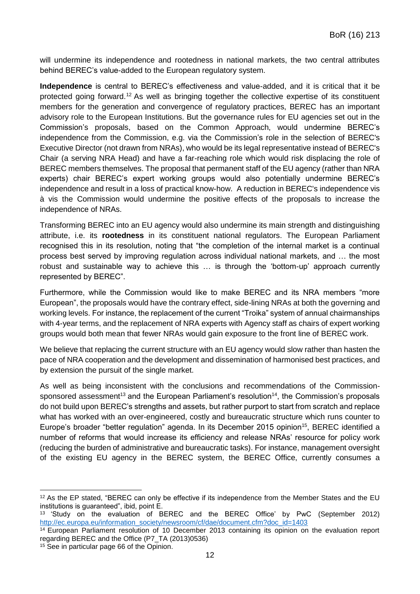will undermine its independence and rootedness in national markets, the two central attributes behind BEREC's value-added to the European regulatory system.

**Independence** is central to BEREC's effectiveness and value-added, and it is critical that it be protected going forward.<sup>12</sup> As well as bringing together the collective expertise of its constituent members for the generation and convergence of regulatory practices, BEREC has an important advisory role to the European Institutions. But the governance rules for EU agencies set out in the Commission's proposals, based on the Common Approach, would undermine BEREC's independence from the Commission, e.g. via the Commission's role in the selection of BEREC's Executive Director (not drawn from NRAs), who would be its legal representative instead of BEREC's Chair (a serving NRA Head) and have a far-reaching role which would risk displacing the role of BEREC members themselves. The proposal that permanent staff of the EU agency (rather than NRA experts) chair BEREC's expert working groups would also potentially undermine BEREC's independence and result in a loss of practical know-how. A reduction in BEREC's independence vis à vis the Commission would undermine the positive effects of the proposals to increase the independence of NRAs.

Transforming BEREC into an EU agency would also undermine its main strength and distinguishing attribute, i.e. its **rootedness** in its constituent national regulators. The European Parliament recognised this in its resolution, noting that "the completion of the internal market is a continual process best served by improving regulation across individual national markets, and … the most robust and sustainable way to achieve this … is through the 'bottom-up' approach currently represented by BEREC".

Furthermore, while the Commission would like to make BEREC and its NRA members "more European", the proposals would have the contrary effect, side-lining NRAs at both the governing and working levels. For instance, the replacement of the current "Troika" system of annual chairmanships with 4-year terms, and the replacement of NRA experts with Agency staff as chairs of expert working groups would both mean that fewer NRAs would gain exposure to the front line of BEREC work.

We believe that replacing the current structure with an EU agency would slow rather than hasten the pace of NRA cooperation and the development and dissemination of harmonised best practices, and by extension the pursuit of the single market.

As well as being inconsistent with the conclusions and recommendations of the Commissionsponsored assessment<sup>13</sup> and the European Parliament's resolution<sup>14</sup>, the Commission's proposals do not build upon BEREC's strengths and assets, but rather purport to start from scratch and replace what has worked with an over-engineered, costly and bureaucratic structure which runs counter to Europe's broader "better regulation" agenda. In its December 2015 opinion<sup>15</sup>, BEREC identified a number of reforms that would increase its efficiency and release NRAs' resource for policy work (reducing the burden of administrative and bureaucratic tasks). For instance, management oversight of the existing EU agency in the BEREC system, the BEREC Office, currently consumes a

**<sup>.</sup>** <sup>12</sup> As the EP stated, "BEREC can only be effective if its independence from the Member States and the EU institutions is guaranteed", ibid, point E.

<sup>13</sup> 'Study on the evaluation of BEREC and the BEREC Office' by PwC (September 2012) [http://ec.europa.eu/information\\_society/newsroom/cf/dae/document.cfm?doc\\_id=1403](http://ec.europa.eu/information_society/newsroom/cf/dae/document.cfm?doc_id=1403)

<sup>14</sup> European Parliament resolution of 10 December 2013 containing its opinion on the evaluation report regarding BEREC and the Office (P7\_TA (2013)0536)

<sup>15</sup> See in particular page 66 of the Opinion.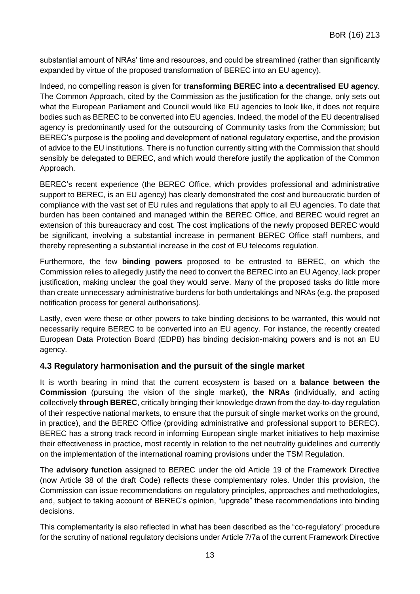substantial amount of NRAs' time and resources, and could be streamlined (rather than significantly expanded by virtue of the proposed transformation of BEREC into an EU agency).

Indeed, no compelling reason is given for **transforming BEREC into a decentralised EU agency**. The Common Approach, cited by the Commission as the justification for the change, only sets out what the European Parliament and Council would like EU agencies to look like, it does not require bodies such as BEREC to be converted into EU agencies. Indeed, the model of the EU decentralised agency is predominantly used for the outsourcing of Community tasks from the Commission; but BEREC's purpose is the pooling and development of national regulatory expertise, and the provision of advice to the EU institutions. There is no function currently sitting with the Commission that should sensibly be delegated to BEREC, and which would therefore justify the application of the Common Approach.

BEREC's recent experience (the BEREC Office, which provides professional and administrative support to BEREC, is an EU agency) has clearly demonstrated the cost and bureaucratic burden of compliance with the vast set of EU rules and regulations that apply to all EU agencies. To date that burden has been contained and managed within the BEREC Office, and BEREC would regret an extension of this bureaucracy and cost. The cost implications of the newly proposed BEREC would be significant, involving a substantial increase in permanent BEREC Office staff numbers, and thereby representing a substantial increase in the cost of EU telecoms regulation.

Furthermore, the few **binding powers** proposed to be entrusted to BEREC, on which the Commission relies to allegedly justify the need to convert the BEREC into an EU Agency, lack proper justification, making unclear the goal they would serve. Many of the proposed tasks do little more than create unnecessary administrative burdens for both undertakings and NRAs (e.g. the proposed notification process for general authorisations).

Lastly, even were these or other powers to take binding decisions to be warranted, this would not necessarily require BEREC to be converted into an EU agency. For instance, the recently created European Data Protection Board (EDPB) has binding decision-making powers and is not an EU agency.

#### **4.3 Regulatory harmonisation and the pursuit of the single market**

It is worth bearing in mind that the current ecosystem is based on a **balance between the Commission** (pursuing the vision of the single market), **the NRAs** (individually, and acting collectively **through BEREC**, critically bringing their knowledge drawn from the day-to-day regulation of their respective national markets, to ensure that the pursuit of single market works on the ground, in practice), and the BEREC Office (providing administrative and professional support to BEREC). BEREC has a strong track record in informing European single market initiatives to help maximise their effectiveness in practice, most recently in relation to the net neutrality guidelines and currently on the implementation of the international roaming provisions under the TSM Regulation.

The **advisory function** assigned to BEREC under the old Article 19 of the Framework Directive (now Article 38 of the draft Code) reflects these complementary roles. Under this provision, the Commission can issue recommendations on regulatory principles, approaches and methodologies, and, subject to taking account of BEREC's opinion, "upgrade" these recommendations into binding decisions.

This complementarity is also reflected in what has been described as the "co-regulatory" procedure for the scrutiny of national regulatory decisions under Article 7/7a of the current Framework Directive